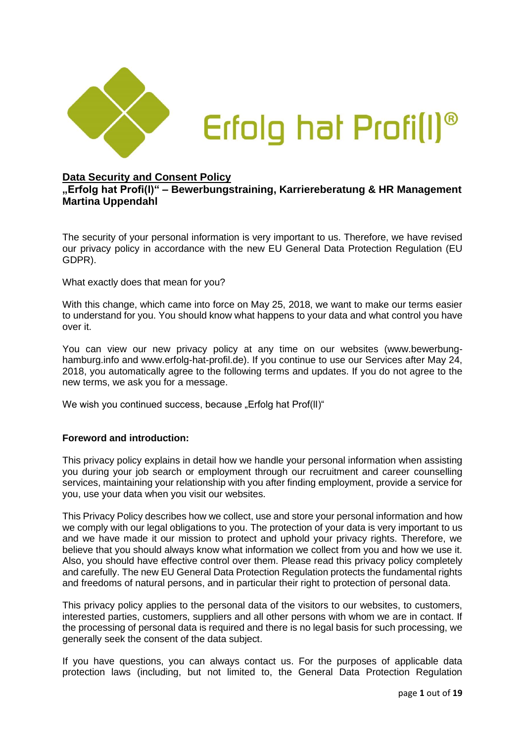

## **Data Security and Consent Policy**

# **"Erfolg hat Profi(l)" – Bewerbungstraining, Karriereberatung & HR Management Martina Uppendahl**

The security of your personal information is very important to us. Therefore, we have revised our privacy policy in accordance with the new EU General Data Protection Regulation (EU GDPR).

What exactly does that mean for you?

With this change, which came into force on May 25, 2018, we want to make our terms easier to understand for you. You should know what happens to your data and what control you have over it.

You can view our new privacy policy at any time on our websites (www.bewerbunghamburg.info and www.erfolg-hat-profil.de). If you continue to use our Services after May 24, 2018, you automatically agree to the following terms and updates. If you do not agree to the new terms, we ask you for a message.

We wish you continued success, because "Erfolg hat Prof(II)"

## **Foreword and introduction:**

This privacy policy explains in detail how we handle your personal information when assisting you during your job search or employment through our recruitment and career counselling services, maintaining your relationship with you after finding employment, provide a service for you, use your data when you visit our websites.

This Privacy Policy describes how we collect, use and store your personal information and how we comply with our legal obligations to you. The protection of your data is very important to us and we have made it our mission to protect and uphold your privacy rights. Therefore, we believe that you should always know what information we collect from you and how we use it. Also, you should have effective control over them. Please read this privacy policy completely and carefully. The new EU General Data Protection Regulation protects the fundamental rights and freedoms of natural persons, and in particular their right to protection of personal data.

This privacy policy applies to the personal data of the visitors to our websites, to customers, interested parties, customers, suppliers and all other persons with whom we are in contact. If the processing of personal data is required and there is no legal basis for such processing, we generally seek the consent of the data subject.

If you have questions, you can always contact us. For the purposes of applicable data protection laws (including, but not limited to, the General Data Protection Regulation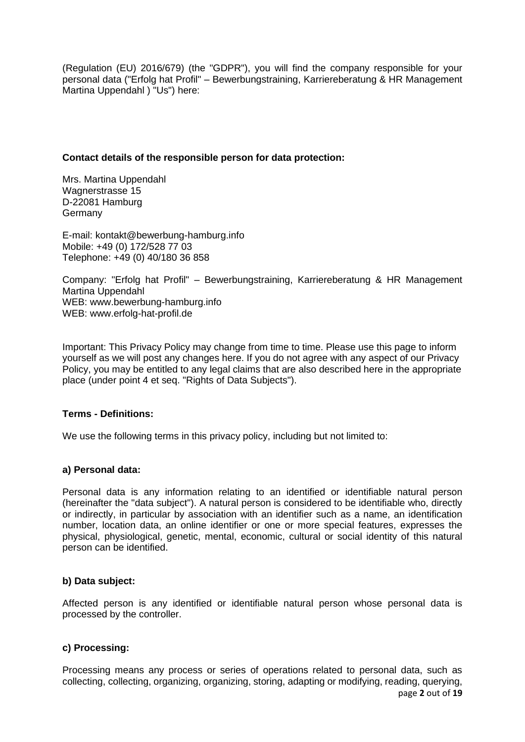(Regulation (EU) 2016/679) (the "GDPR"), you will find the company responsible for your personal data ("Erfolg hat Profil" – Bewerbungstraining, Karriereberatung & HR Management Martina Uppendahl ) "Us") here:

#### **Contact details of the responsible person for data protection:**

Mrs. Martina Uppendahl Wagnerstrasse 15 D-22081 Hamburg Germany

E-mail: kontakt@bewerbung-hamburg.info Mobile: +49 (0) 172/528 77 03 Telephone: +49 (0) 40/180 36 858

Company: "Erfolg hat Profil" – Bewerbungstraining, Karriereberatung & HR Management Martina Uppendahl WEB: www.bewerbung-hamburg.info WEB: www.erfolg-hat-profil.de

Important: This Privacy Policy may change from time to time. Please use this page to inform yourself as we will post any changes here. If you do not agree with any aspect of our Privacy Policy, you may be entitled to any legal claims that are also described here in the appropriate place (under point 4 et seq. "Rights of Data Subjects").

## **Terms - Definitions:**

We use the following terms in this privacy policy, including but not limited to:

## **a) Personal data:**

Personal data is any information relating to an identified or identifiable natural person (hereinafter the "data subject"). A natural person is considered to be identifiable who, directly or indirectly, in particular by association with an identifier such as a name, an identification number, location data, an online identifier or one or more special features, expresses the physical, physiological, genetic, mental, economic, cultural or social identity of this natural person can be identified.

## **b) Data subject:**

Affected person is any identified or identifiable natural person whose personal data is processed by the controller.

## **c) Processing:**

page **2** out of **19** Processing means any process or series of operations related to personal data, such as collecting, collecting, organizing, organizing, storing, adapting or modifying, reading, querying,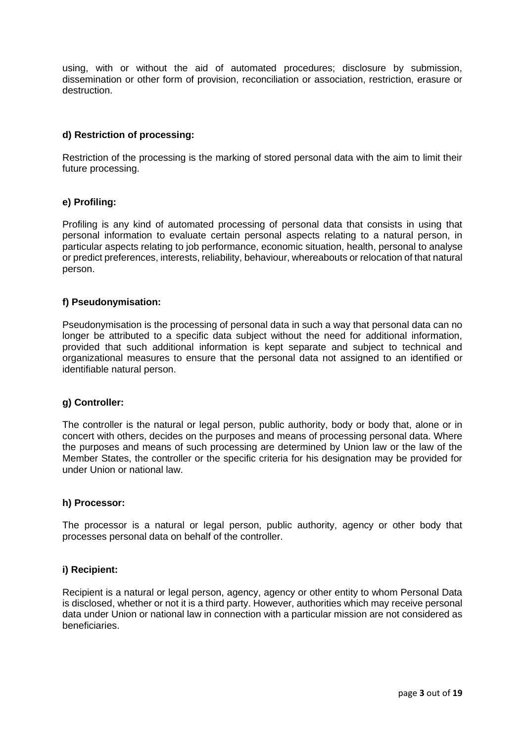using, with or without the aid of automated procedures; disclosure by submission, dissemination or other form of provision, reconciliation or association, restriction, erasure or destruction.

## **d) Restriction of processing:**

Restriction of the processing is the marking of stored personal data with the aim to limit their future processing.

#### **e) Profiling:**

Profiling is any kind of automated processing of personal data that consists in using that personal information to evaluate certain personal aspects relating to a natural person, in particular aspects relating to job performance, economic situation, health, personal to analyse or predict preferences, interests, reliability, behaviour, whereabouts or relocation of that natural person.

#### **f) Pseudonymisation:**

Pseudonymisation is the processing of personal data in such a way that personal data can no longer be attributed to a specific data subject without the need for additional information, provided that such additional information is kept separate and subject to technical and organizational measures to ensure that the personal data not assigned to an identified or identifiable natural person.

#### **g) Controller:**

The controller is the natural or legal person, public authority, body or body that, alone or in concert with others, decides on the purposes and means of processing personal data. Where the purposes and means of such processing are determined by Union law or the law of the Member States, the controller or the specific criteria for his designation may be provided for under Union or national law.

#### **h) Processor:**

The processor is a natural or legal person, public authority, agency or other body that processes personal data on behalf of the controller.

#### **i) Recipient:**

Recipient is a natural or legal person, agency, agency or other entity to whom Personal Data is disclosed, whether or not it is a third party. However, authorities which may receive personal data under Union or national law in connection with a particular mission are not considered as beneficiaries.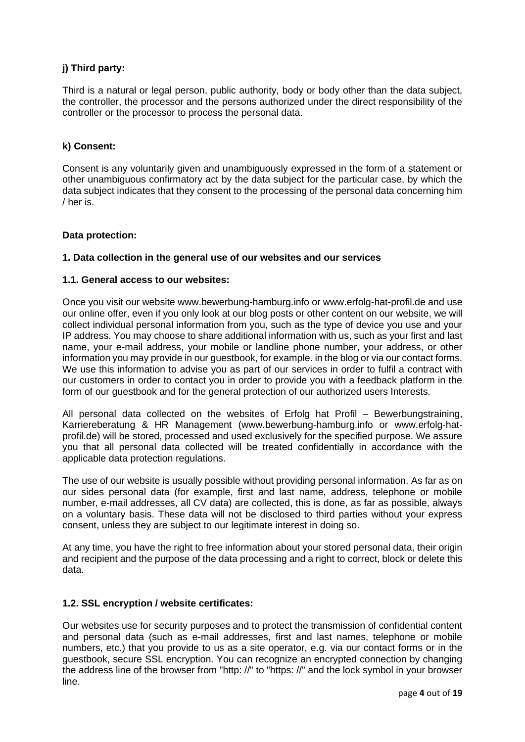# **j) Third party:**

Third is a natural or legal person, public authority, body or body other than the data subject, the controller, the processor and the persons authorized under the direct responsibility of the controller or the processor to process the personal data.

#### **k) Consent:**

Consent is any voluntarily given and unambiguously expressed in the form of a statement or other unambiguous confirmatory act by the data subject for the particular case, by which the data subject indicates that they consent to the processing of the personal data concerning him / her is.

#### **Data protection:**

#### **1. Data collection in the general use of our websites and our services**

#### **1.1. General access to our websites:**

Once you visit our website www.bewerbung-hamburg.info or www.erfolg-hat-profil.de and use our online offer, even if you only look at our blog posts or other content on our website, we will collect individual personal information from you, such as the type of device you use and your IP address. You may choose to share additional information with us, such as your first and last name, your e-mail address, your mobile or landline phone number, your address, or other information you may provide in our guestbook, for example. in the blog or via our contact forms. We use this information to advise you as part of our services in order to fulfil a contract with our customers in order to contact you in order to provide you with a feedback platform in the form of our guestbook and for the general protection of our authorized users Interests.

All personal data collected on the websites of Erfolg hat Profil – Bewerbungstraining, Karriereberatung & HR Management (www.bewerbung-hamburg.info or [www.erfolg-hat](http://www.erfolg-hat-profil.de/)[profil.de\)](http://www.erfolg-hat-profil.de/) will be stored, processed and used exclusively for the specified purpose. We assure you that all personal data collected will be treated confidentially in accordance with the applicable data protection regulations.

The use of our website is usually possible without providing personal information. As far as on our sides personal data (for example, first and last name, address, telephone or mobile number, e-mail addresses, all CV data) are collected, this is done, as far as possible, always on a voluntary basis. These data will not be disclosed to third parties without your express consent, unless they are subject to our legitimate interest in doing so.

At any time, you have the right to free information about your stored personal data, their origin and recipient and the purpose of the data processing and a right to correct, block or delete this data.

## **1.2. SSL encryption / website certificates:**

Our websites use for security purposes and to protect the transmission of confidential content and personal data (such as e-mail addresses, first and last names, telephone or mobile numbers, etc.) that you provide to us as a site operator, e.g. via our contact forms or in the guestbook, secure SSL encryption. You can recognize an encrypted connection by changing the address line of the browser from "http: //" to "https: //" and the lock symbol in your browser line.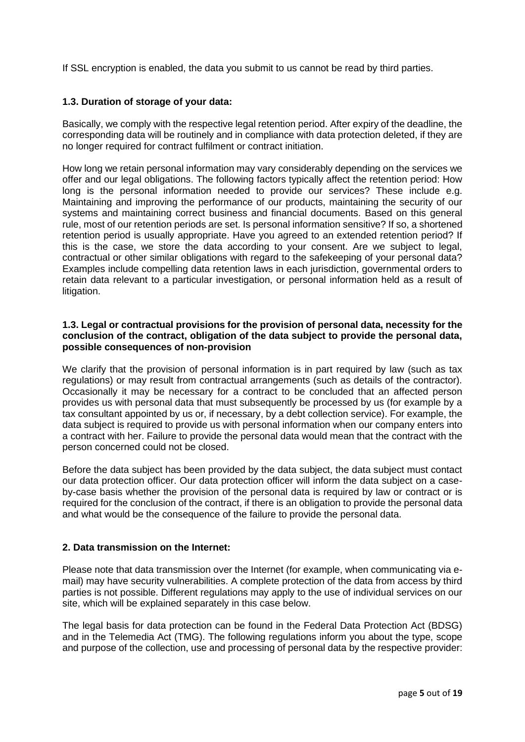If SSL encryption is enabled, the data you submit to us cannot be read by third parties.

#### **1.3. Duration of storage of your data:**

Basically, we comply with the respective legal retention period. After expiry of the deadline, the corresponding data will be routinely and in compliance with data protection deleted, if they are no longer required for contract fulfilment or contract initiation.

How long we retain personal information may vary considerably depending on the services we offer and our legal obligations. The following factors typically affect the retention period: How long is the personal information needed to provide our services? These include e.g. Maintaining and improving the performance of our products, maintaining the security of our systems and maintaining correct business and financial documents. Based on this general rule, most of our retention periods are set. Is personal information sensitive? If so, a shortened retention period is usually appropriate. Have you agreed to an extended retention period? If this is the case, we store the data according to your consent. Are we subject to legal, contractual or other similar obligations with regard to the safekeeping of your personal data? Examples include compelling data retention laws in each jurisdiction, governmental orders to retain data relevant to a particular investigation, or personal information held as a result of litigation.

#### **1.3. Legal or contractual provisions for the provision of personal data, necessity for the conclusion of the contract, obligation of the data subject to provide the personal data, possible consequences of non-provision**

We clarify that the provision of personal information is in part required by law (such as tax regulations) or may result from contractual arrangements (such as details of the contractor). Occasionally it may be necessary for a contract to be concluded that an affected person provides us with personal data that must subsequently be processed by us (for example by a tax consultant appointed by us or, if necessary, by a debt collection service). For example, the data subject is required to provide us with personal information when our company enters into a contract with her. Failure to provide the personal data would mean that the contract with the person concerned could not be closed.

Before the data subject has been provided by the data subject, the data subject must contact our data protection officer. Our data protection officer will inform the data subject on a caseby-case basis whether the provision of the personal data is required by law or contract or is required for the conclusion of the contract, if there is an obligation to provide the personal data and what would be the consequence of the failure to provide the personal data.

## **2. Data transmission on the Internet:**

Please note that data transmission over the Internet (for example, when communicating via email) may have security vulnerabilities. A complete protection of the data from access by third parties is not possible. Different regulations may apply to the use of individual services on our site, which will be explained separately in this case below.

The legal basis for data protection can be found in the Federal Data Protection Act (BDSG) and in the Telemedia Act (TMG). The following regulations inform you about the type, scope and purpose of the collection, use and processing of personal data by the respective provider: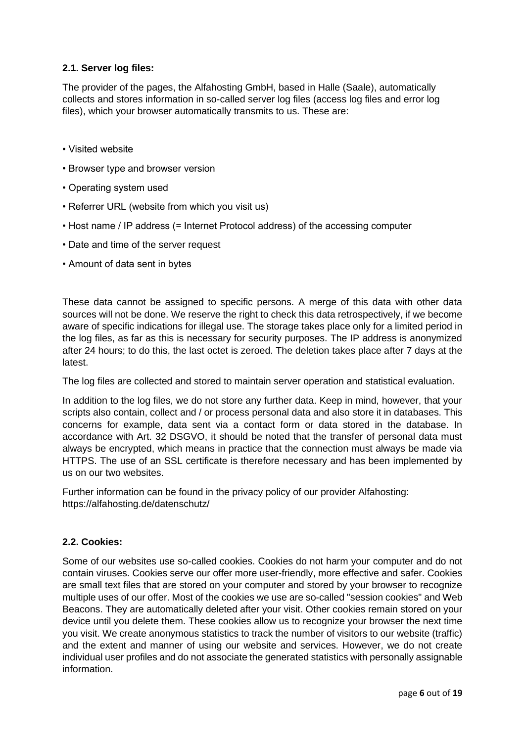# **2.1. Server log files:**

The provider of the pages, the Alfahosting GmbH, based in Halle (Saale), automatically collects and stores information in so-called server log files (access log files and error log files), which your browser automatically transmits to us. These are:

- Visited website
- Browser type and browser version
- Operating system used
- Referrer URL (website from which you visit us)
- Host name / IP address (= Internet Protocol address) of the accessing computer
- Date and time of the server request
- Amount of data sent in bytes

These data cannot be assigned to specific persons. A merge of this data with other data sources will not be done. We reserve the right to check this data retrospectively, if we become aware of specific indications for illegal use. The storage takes place only for a limited period in the log files, as far as this is necessary for security purposes. The IP address is anonymized after 24 hours; to do this, the last octet is zeroed. The deletion takes place after 7 days at the latest.

The log files are collected and stored to maintain server operation and statistical evaluation.

In addition to the log files, we do not store any further data. Keep in mind, however, that your scripts also contain, collect and / or process personal data and also store it in databases. This concerns for example, data sent via a contact form or data stored in the database. In accordance with Art. 32 DSGVO, it should be noted that the transfer of personal data must always be encrypted, which means in practice that the connection must always be made via HTTPS. The use of an SSL certificate is therefore necessary and has been implemented by us on our two websites.

Further information can be found in the privacy policy of our provider Alfahosting: <https://alfahosting.de/datenschutz/>

## **2.2. Cookies:**

Some of our websites use so-called cookies. Cookies do not harm your computer and do not contain viruses. Cookies serve our offer more user-friendly, more effective and safer. Cookies are small text files that are stored on your computer and stored by your browser to recognize multiple uses of our offer. Most of the cookies we use are so-called "session cookies" and Web Beacons. They are automatically deleted after your visit. Other cookies remain stored on your device until you delete them. These cookies allow us to recognize your browser the next time you visit. We create anonymous statistics to track the number of visitors to our website (traffic) and the extent and manner of using our website and services. However, we do not create individual user profiles and do not associate the generated statistics with personally assignable information.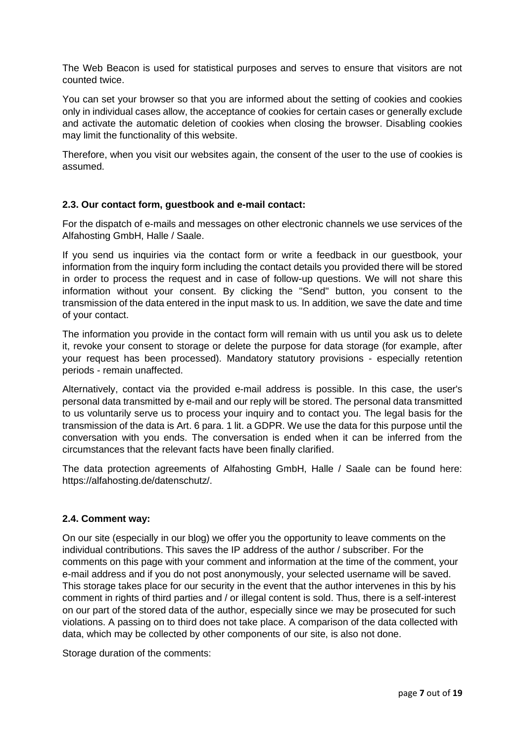The Web Beacon is used for statistical purposes and serves to ensure that visitors are not counted twice.

You can set your browser so that you are informed about the setting of cookies and cookies only in individual cases allow, the acceptance of cookies for certain cases or generally exclude and activate the automatic deletion of cookies when closing the browser. Disabling cookies may limit the functionality of this website.

Therefore, when you visit our websites again, the consent of the user to the use of cookies is assumed.

## **2.3. Our contact form, guestbook and e-mail contact:**

For the dispatch of e-mails and messages on other electronic channels we use services of the Alfahosting GmbH, Halle / Saale.

If you send us inquiries via the contact form or write a feedback in our guestbook, your information from the inquiry form including the contact details you provided there will be stored in order to process the request and in case of follow-up questions. We will not share this information without your consent. By clicking the "Send" button, you consent to the transmission of the data entered in the input mask to us. In addition, we save the date and time of your contact.

The information you provide in the contact form will remain with us until you ask us to delete it, revoke your consent to storage or delete the purpose for data storage (for example, after your request has been processed). Mandatory statutory provisions - especially retention periods - remain unaffected.

Alternatively, contact via the provided e-mail address is possible. In this case, the user's personal data transmitted by e-mail and our reply will be stored. The personal data transmitted to us voluntarily serve us to process your inquiry and to contact you. The legal basis for the transmission of the data is Art. 6 para. 1 lit. a GDPR. We use the data for this purpose until the conversation with you ends. The conversation is ended when it can be inferred from the circumstances that the relevant facts have been finally clarified.

The data protection agreements of Alfahosting GmbH, Halle / Saale can be found here: https://alfahosting.de/datenschutz/.

## **2.4. Comment way:**

On our site (especially in our blog) we offer you the opportunity to leave comments on the individual contributions. This saves the IP address of the author / subscriber. For the comments on this page with your comment and information at the time of the comment, your e-mail address and if you do not post anonymously, your selected username will be saved. This storage takes place for our security in the event that the author intervenes in this by his comment in rights of third parties and / or illegal content is sold. Thus, there is a self-interest on our part of the stored data of the author, especially since we may be prosecuted for such violations. A passing on to third does not take place. A comparison of the data collected with data, which may be collected by other components of our site, is also not done.

Storage duration of the comments: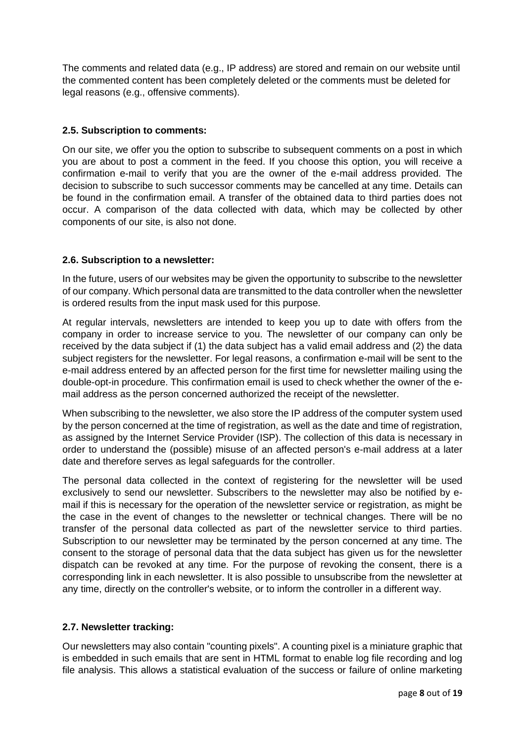The comments and related data (e.g., IP address) are stored and remain on our website until the commented content has been completely deleted or the comments must be deleted for legal reasons (e.g., offensive comments).

## **2.5. Subscription to comments:**

On our site, we offer you the option to subscribe to subsequent comments on a post in which you are about to post a comment in the feed. If you choose this option, you will receive a confirmation e-mail to verify that you are the owner of the e-mail address provided. The decision to subscribe to such successor comments may be cancelled at any time. Details can be found in the confirmation email. A transfer of the obtained data to third parties does not occur. A comparison of the data collected with data, which may be collected by other components of our site, is also not done.

## **2.6. Subscription to a newsletter:**

In the future, users of our websites may be given the opportunity to subscribe to the newsletter of our company. Which personal data are transmitted to the data controller when the newsletter is ordered results from the input mask used for this purpose.

At regular intervals, newsletters are intended to keep you up to date with offers from the company in order to increase service to you. The newsletter of our company can only be received by the data subject if (1) the data subject has a valid email address and (2) the data subject registers for the newsletter. For legal reasons, a confirmation e-mail will be sent to the e-mail address entered by an affected person for the first time for newsletter mailing using the double-opt-in procedure. This confirmation email is used to check whether the owner of the email address as the person concerned authorized the receipt of the newsletter.

When subscribing to the newsletter, we also store the IP address of the computer system used by the person concerned at the time of registration, as well as the date and time of registration, as assigned by the Internet Service Provider (ISP). The collection of this data is necessary in order to understand the (possible) misuse of an affected person's e-mail address at a later date and therefore serves as legal safeguards for the controller.

The personal data collected in the context of registering for the newsletter will be used exclusively to send our newsletter. Subscribers to the newsletter may also be notified by email if this is necessary for the operation of the newsletter service or registration, as might be the case in the event of changes to the newsletter or technical changes. There will be no transfer of the personal data collected as part of the newsletter service to third parties. Subscription to our newsletter may be terminated by the person concerned at any time. The consent to the storage of personal data that the data subject has given us for the newsletter dispatch can be revoked at any time. For the purpose of revoking the consent, there is a corresponding link in each newsletter. It is also possible to unsubscribe from the newsletter at any time, directly on the controller's website, or to inform the controller in a different way.

# **2.7. Newsletter tracking:**

Our newsletters may also contain "counting pixels". A counting pixel is a miniature graphic that is embedded in such emails that are sent in HTML format to enable log file recording and log file analysis. This allows a statistical evaluation of the success or failure of online marketing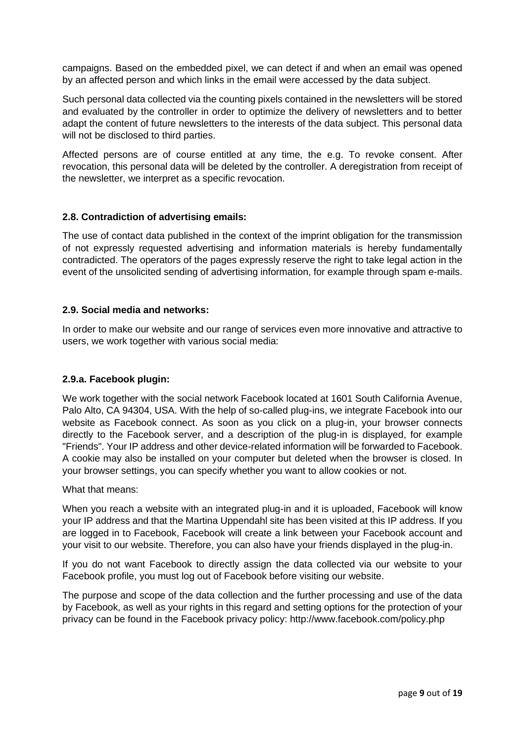campaigns. Based on the embedded pixel, we can detect if and when an email was opened by an affected person and which links in the email were accessed by the data subject.

Such personal data collected via the counting pixels contained in the newsletters will be stored and evaluated by the controller in order to optimize the delivery of newsletters and to better adapt the content of future newsletters to the interests of the data subject. This personal data will not be disclosed to third parties.

Affected persons are of course entitled at any time, the e.g. To revoke consent. After revocation, this personal data will be deleted by the controller. A deregistration from receipt of the newsletter, we interpret as a specific revocation.

## **2.8. Contradiction of advertising emails:**

The use of contact data published in the context of the imprint obligation for the transmission of not expressly requested advertising and information materials is hereby fundamentally contradicted. The operators of the pages expressly reserve the right to take legal action in the event of the unsolicited sending of advertising information, for example through spam e-mails.

## **2.9. Social media and networks:**

In order to make our website and our range of services even more innovative and attractive to users, we work together with various social media:

## **2.9.a. Facebook plugin:**

We work together with the social network Facebook located at 1601 South California Avenue, Palo Alto, CA 94304, USA. With the help of so-called plug-ins, we integrate Facebook into our website as Facebook connect. As soon as you click on a plug-in, your browser connects directly to the Facebook server, and a description of the plug-in is displayed, for example "Friends". Your IP address and other device-related information will be forwarded to Facebook. A cookie may also be installed on your computer but deleted when the browser is closed. In your browser settings, you can specify whether you want to allow cookies or not.

## What that means:

When you reach a website with an integrated plug-in and it is uploaded, Facebook will know your IP address and that the Martina Uppendahl site has been visited at this IP address. If you are logged in to Facebook, Facebook will create a link between your Facebook account and your visit to our website. Therefore, you can also have your friends displayed in the plug-in.

If you do not want Facebook to directly assign the data collected via our website to your Facebook profile, you must log out of Facebook before visiting our website.

The purpose and scope of the data collection and the further processing and use of the data by Facebook, as well as your rights in this regard and setting options for the protection of your privacy can be found in the Facebook privacy policy: http://www.facebook.com/policy.php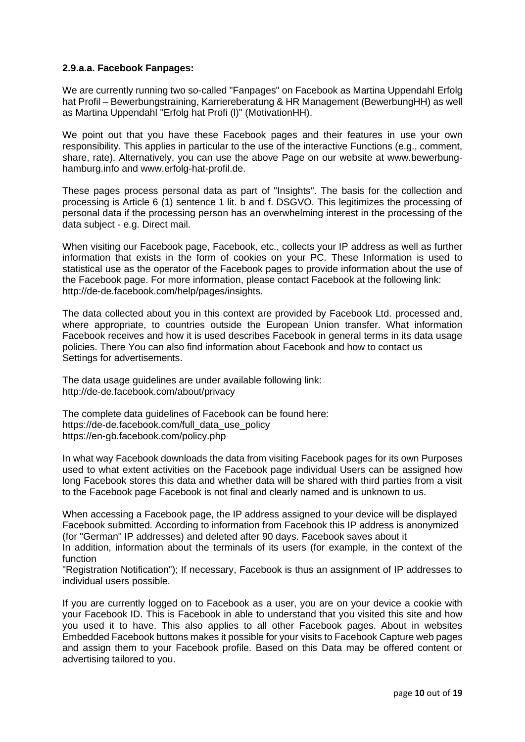#### **2.9.a.a. Facebook Fanpages:**

We are currently running two so-called "Fanpages" on Facebook as Martina Uppendahl Erfolg hat Profil – Bewerbungstraining, Karriereberatung & HR Management (BewerbungHH) as well as Martina Uppendahl "Erfolg hat Profi (l)" (MotivationHH).

We point out that you have these Facebook pages and their features in use your own responsibility. This applies in particular to the use of the interactive Functions (e.g., comment, share, rate). Alternatively, you can use the above Page on our website at www.bewerbunghamburg.info and www.erfolg-hat-profil.de.

These pages process personal data as part of "Insights". The basis for the collection and processing is Article 6 (1) sentence 1 lit. b and f. DSGVO. This legitimizes the processing of personal data if the processing person has an overwhelming interest in the processing of the data subject - e.g. Direct mail.

When visiting our Facebook page, Facebook, etc., collects your IP address as well as further information that exists in the form of cookies on your PC. These Information is used to statistical use as the operator of the Facebook pages to provide information about the use of the Facebook page. For more information, please contact Facebook at the following link: http://de-de.facebook.com/help/pages/insights.

The data collected about you in this context are provided by Facebook Ltd. processed and, where appropriate, to countries outside the European Union transfer. What information Facebook receives and how it is used describes Facebook in general terms in its data usage policies. There You can also find information about Facebook and how to contact us Settings for advertisements.

The data usage guidelines are under available following link: http://de-de.facebook.com/about/privacy

The complete data guidelines of Facebook can be found here: https://de-de.facebook.com/full\_data\_use\_policy https://en-gb.facebook.com/policy.php

In what way Facebook downloads the data from visiting Facebook pages for its own Purposes used to what extent activities on the Facebook page individual Users can be assigned how long Facebook stores this data and whether data will be shared with third parties from a visit to the Facebook page Facebook is not final and clearly named and is unknown to us.

When accessing a Facebook page, the IP address assigned to your device will be displayed Facebook submitted. According to information from Facebook this IP address is anonymized (for "German" IP addresses) and deleted after 90 days. Facebook saves about it

In addition, information about the terminals of its users (for example, in the context of the function

"Registration Notification"); If necessary, Facebook is thus an assignment of IP addresses to individual users possible.

If you are currently logged on to Facebook as a user, you are on your device a cookie with your Facebook ID. This is Facebook in able to understand that you visited this site and how you used it to have. This also applies to all other Facebook pages. About in websites Embedded Facebook buttons makes it possible for your visits to Facebook Capture web pages and assign them to your Facebook profile. Based on this Data may be offered content or advertising tailored to you.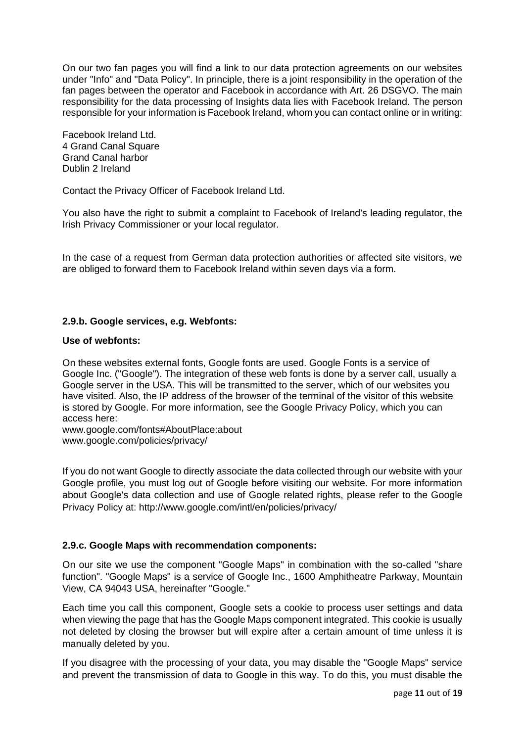On our two fan pages you will find a link to our data protection agreements on our websites under "Info" and "Data Policy". In principle, there is a joint responsibility in the operation of the fan pages between the operator and Facebook in accordance with Art. 26 DSGVO. The main responsibility for the data processing of Insights data lies with Facebook Ireland. The person responsible for your information is Facebook Ireland, whom you can contact online or in writing:

Facebook Ireland Ltd. 4 Grand Canal Square Grand Canal harbor Dublin 2 Ireland

Contact the Privacy Officer of Facebook Ireland Ltd.

You also have the right to submit a complaint to Facebook of Ireland's leading regulator, the Irish Privacy Commissioner or your local regulator.

In the case of a request from German data protection authorities or affected site visitors, we are obliged to forward them to Facebook Ireland within seven days via a form.

## **2.9.b. Google services, e.g. Webfonts:**

#### **Use of webfonts:**

On these websites external fonts, Google fonts are used. Google Fonts is a service of Google Inc. ("Google"). The integration of these web fonts is done by a server call, usually a Google server in the USA. This will be transmitted to the server, which of our websites you have visited. Also, the IP address of the browser of the terminal of the visitor of this website is stored by Google. For more information, see the Google Privacy Policy, which you can access here:

www.google.com/fonts#AboutPlace:about www.google.com/policies/privacy/

If you do not want Google to directly associate the data collected through our website with your Google profile, you must log out of Google before visiting our website. For more information about Google's data collection and use of Google related rights, please refer to the Google Privacy Policy at: http://www.google.com/intl/en/policies/privacy/

## **2.9.c. Google Maps with recommendation components:**

On our site we use the component "Google Maps" in combination with the so-called "share function". "Google Maps" is a service of Google Inc., 1600 Amphitheatre Parkway, Mountain View, CA 94043 USA, hereinafter "Google."

Each time you call this component, Google sets a cookie to process user settings and data when viewing the page that has the Google Maps component integrated. This cookie is usually not deleted by closing the browser but will expire after a certain amount of time unless it is manually deleted by you.

If you disagree with the processing of your data, you may disable the "Google Maps" service and prevent the transmission of data to Google in this way. To do this, you must disable the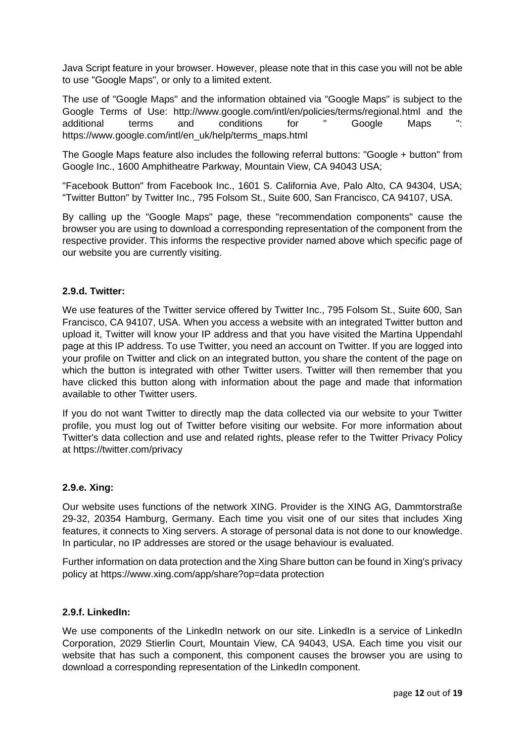Java Script feature in your browser. However, please note that in this case you will not be able to use "Google Maps", or only to a limited extent.

The use of "Google Maps" and the information obtained via "Google Maps" is subject to the Google Terms of Use: http://www.google.com/intl/en/policies/terms/regional.html and the additional terms and conditions for " Google Maps ": https://www.google.com/intl/en\_uk/help/terms\_maps.html

The Google Maps feature also includes the following referral buttons: "Google + button" from Google Inc., 1600 Amphitheatre Parkway, Mountain View, CA 94043 USA;

"Facebook Button" from Facebook Inc., 1601 S. California Ave, Palo Alto, CA 94304, USA; "Twitter Button" by Twitter Inc., 795 Folsom St., Suite 600, San Francisco, CA 94107, USA.

By calling up the "Google Maps" page, these "recommendation components" cause the browser you are using to download a corresponding representation of the component from the respective provider. This informs the respective provider named above which specific page of our website you are currently visiting.

#### **2.9.d. Twitter:**

We use features of the Twitter service offered by Twitter Inc., 795 Folsom St., Suite 600, San Francisco, CA 94107, USA. When you access a website with an integrated Twitter button and upload it, Twitter will know your IP address and that you have visited the Martina Uppendahl page at this IP address. To use Twitter, you need an account on Twitter. If you are logged into your profile on Twitter and click on an integrated button, you share the content of the page on which the button is integrated with other Twitter users. Twitter will then remember that you have clicked this button along with information about the page and made that information available to other Twitter users.

If you do not want Twitter to directly map the data collected via our website to your Twitter profile, you must log out of Twitter before visiting our website. For more information about Twitter's data collection and use and related rights, please refer to the Twitter Privacy Policy at<https://twitter.com/privacy>

#### **2.9.e. Xing:**

Our website uses functions of the network XING. Provider is the XING AG, Dammtorstraße 29-32, 20354 Hamburg, Germany. Each time you visit one of our sites that includes Xing features, it connects to Xing servers. A storage of personal data is not done to our knowledge. In particular, no IP addresses are stored or the usage behaviour is evaluated.

Further information on data protection and the Xing Share button can be found in Xing's privacy policy at https://www.xing.com/app/share?op=data protection

## **2.9.f. LinkedIn:**

We use components of the LinkedIn network on our site. LinkedIn is a service of LinkedIn Corporation, 2029 Stierlin Court, Mountain View, CA 94043, USA. Each time you visit our website that has such a component, this component causes the browser you are using to download a corresponding representation of the LinkedIn component.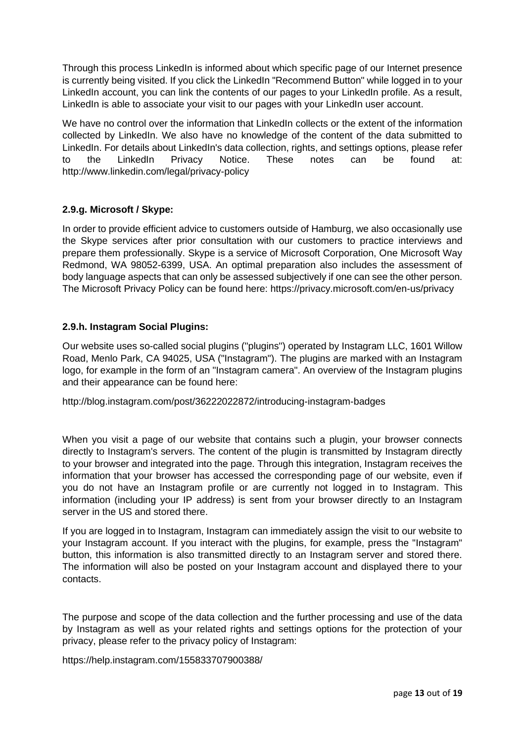Through this process LinkedIn is informed about which specific page of our Internet presence is currently being visited. If you click the LinkedIn "Recommend Button" while logged in to your LinkedIn account, you can link the contents of our pages to your LinkedIn profile. As a result, LinkedIn is able to associate your visit to our pages with your LinkedIn user account.

We have no control over the information that LinkedIn collects or the extent of the information collected by LinkedIn. We also have no knowledge of the content of the data submitted to LinkedIn. For details about LinkedIn's data collection, rights, and settings options, please refer to the LinkedIn Privacy Notice. These notes can be found at: http://www.linkedin.com/legal/privacy-policy

## **2.9.g. Microsoft / Skype:**

In order to provide efficient advice to customers outside of Hamburg, we also occasionally use the Skype services after prior consultation with our customers to practice interviews and prepare them professionally. Skype is a service of Microsoft Corporation, One Microsoft Way Redmond, WA 98052-6399, USA. An optimal preparation also includes the assessment of body language aspects that can only be assessed subjectively if one can see the other person. The Microsoft Privacy Policy can be found here: https://privacy.microsoft.com/en-us/privacy

## **2.9.h. Instagram Social Plugins:**

Our website uses so-called social plugins ("plugins") operated by Instagram LLC, 1601 Willow Road, Menlo Park, CA 94025, USA ("Instagram"). The plugins are marked with an Instagram logo, for example in the form of an "Instagram camera". An overview of the Instagram plugins and their appearance can be found here:

http://blog.instagram.com/post/36222022872/introducing-instagram-badges

When you visit a page of our website that contains such a plugin, your browser connects directly to Instagram's servers. The content of the plugin is transmitted by Instagram directly to your browser and integrated into the page. Through this integration, Instagram receives the information that your browser has accessed the corresponding page of our website, even if you do not have an Instagram profile or are currently not logged in to Instagram. This information (including your IP address) is sent from your browser directly to an Instagram server in the US and stored there.

If you are logged in to Instagram, Instagram can immediately assign the visit to our website to your Instagram account. If you interact with the plugins, for example, press the "Instagram" button, this information is also transmitted directly to an Instagram server and stored there. The information will also be posted on your Instagram account and displayed there to your contacts.

The purpose and scope of the data collection and the further processing and use of the data by Instagram as well as your related rights and settings options for the protection of your privacy, please refer to the privacy policy of Instagram:

https://help.instagram.com/155833707900388/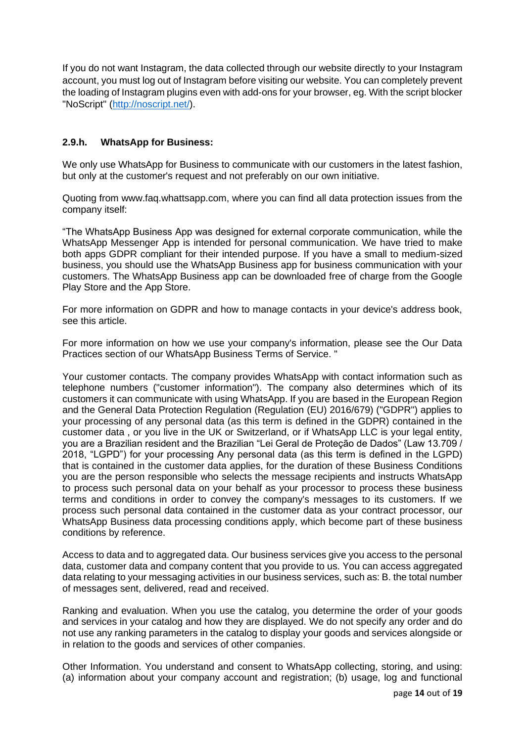If you do not want Instagram, the data collected through our website directly to your Instagram account, you must log out of Instagram before visiting our website. You can completely prevent the loading of Instagram plugins even with add-ons for your browser, eg. With the script blocker "NoScript" [\(http://noscript.net/\)](http://noscript.net/).

# **2.9.h. WhatsApp for Business:**

We only use WhatsApp for Business to communicate with our customers in the latest fashion, but only at the customer's request and not preferably on our own initiative.

Quoting from www.faq.whattsapp.com, where you can find all data protection issues from the company itself:

"The WhatsApp Business App was designed for external corporate communication, while the WhatsApp Messenger App is intended for personal communication. We have tried to make both apps GDPR compliant for their intended purpose. If you have a small to medium-sized business, you should use the WhatsApp Business app for business communication with your customers. The WhatsApp Business app can be downloaded free of charge from the Google Play Store and the App Store.

For more information on GDPR and how to manage contacts in your device's address book, see this article.

For more information on how we use your company's information, please see the Our Data Practices section of our WhatsApp Business Terms of Service. "

Your customer contacts. The company provides WhatsApp with contact information such as telephone numbers ("customer information"). The company also determines which of its customers it can communicate with using WhatsApp. If you are based in the European Region and the General Data Protection Regulation (Regulation (EU) 2016/679) ("GDPR") applies to your processing of any personal data (as this term is defined in the GDPR) contained in the customer data , or you live in the UK or Switzerland, or if WhatsApp LLC is your legal entity, you are a Brazilian resident and the Brazilian "Lei Geral de Proteção de Dados" (Law 13.709 / 2018, "LGPD") for your processing Any personal data (as this term is defined in the LGPD) that is contained in the customer data applies, for the duration of these Business Conditions you are the person responsible who selects the message recipients and instructs WhatsApp to process such personal data on your behalf as your processor to process these business terms and conditions in order to convey the company's messages to its customers. If we process such personal data contained in the customer data as your contract processor, our WhatsApp Business data processing conditions apply, which become part of these business conditions by reference.

Access to data and to aggregated data. Our business services give you access to the personal data, customer data and company content that you provide to us. You can access aggregated data relating to your messaging activities in our business services, such as: B. the total number of messages sent, delivered, read and received.

Ranking and evaluation. When you use the catalog, you determine the order of your goods and services in your catalog and how they are displayed. We do not specify any order and do not use any ranking parameters in the catalog to display your goods and services alongside or in relation to the goods and services of other companies.

Other Information. You understand and consent to WhatsApp collecting, storing, and using: (a) information about your company account and registration; (b) usage, log and functional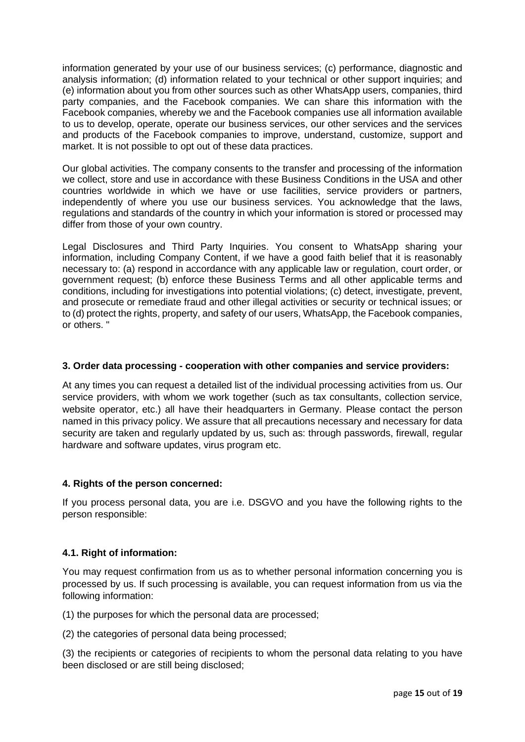information generated by your use of our business services; (c) performance, diagnostic and analysis information; (d) information related to your technical or other support inquiries; and (e) information about you from other sources such as other WhatsApp users, companies, third party companies, and the Facebook companies. We can share this information with the Facebook companies, whereby we and the Facebook companies use all information available to us to develop, operate, operate our business services, our other services and the services and products of the Facebook companies to improve, understand, customize, support and market. It is not possible to opt out of these data practices.

Our global activities. The company consents to the transfer and processing of the information we collect, store and use in accordance with these Business Conditions in the USA and other countries worldwide in which we have or use facilities, service providers or partners, independently of where you use our business services. You acknowledge that the laws, regulations and standards of the country in which your information is stored or processed may differ from those of your own country.

Legal Disclosures and Third Party Inquiries. You consent to WhatsApp sharing your information, including Company Content, if we have a good faith belief that it is reasonably necessary to: (a) respond in accordance with any applicable law or regulation, court order, or government request; (b) enforce these Business Terms and all other applicable terms and conditions, including for investigations into potential violations; (c) detect, investigate, prevent, and prosecute or remediate fraud and other illegal activities or security or technical issues; or to (d) protect the rights, property, and safety of our users, WhatsApp, the Facebook companies, or others. "

## **3. Order data processing - cooperation with other companies and service providers:**

At any times you can request a detailed list of the individual processing activities from us. Our service providers, with whom we work together (such as tax consultants, collection service, website operator, etc.) all have their headquarters in Germany. Please contact the person named in this privacy policy. We assure that all precautions necessary and necessary for data security are taken and regularly updated by us, such as: through passwords, firewall, regular hardware and software updates, virus program etc.

## **4. Rights of the person concerned:**

If you process personal data, you are i.e. DSGVO and you have the following rights to the person responsible:

# **4.1. Right of information:**

You may request confirmation from us as to whether personal information concerning you is processed by us. If such processing is available, you can request information from us via the following information:

(1) the purposes for which the personal data are processed;

(2) the categories of personal data being processed;

(3) the recipients or categories of recipients to whom the personal data relating to you have been disclosed or are still being disclosed;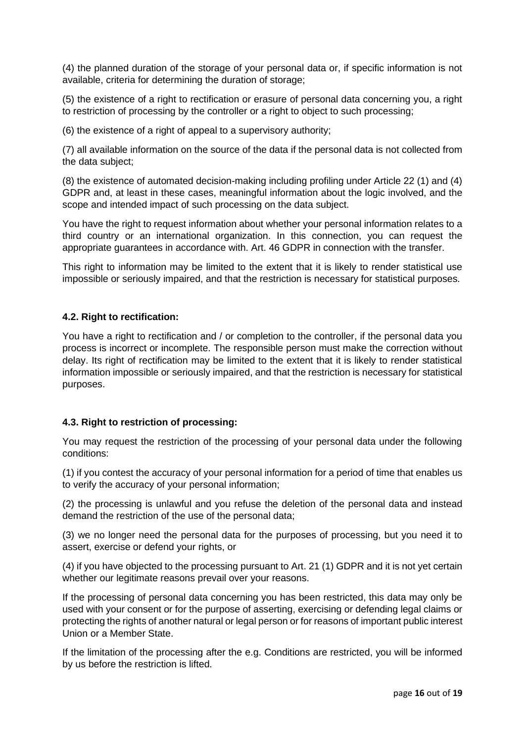(4) the planned duration of the storage of your personal data or, if specific information is not available, criteria for determining the duration of storage;

(5) the existence of a right to rectification or erasure of personal data concerning you, a right to restriction of processing by the controller or a right to object to such processing;

(6) the existence of a right of appeal to a supervisory authority;

(7) all available information on the source of the data if the personal data is not collected from the data subject;

(8) the existence of automated decision-making including profiling under Article 22 (1) and (4) GDPR and, at least in these cases, meaningful information about the logic involved, and the scope and intended impact of such processing on the data subject.

You have the right to request information about whether your personal information relates to a third country or an international organization. In this connection, you can request the appropriate guarantees in accordance with. Art. 46 GDPR in connection with the transfer.

This right to information may be limited to the extent that it is likely to render statistical use impossible or seriously impaired, and that the restriction is necessary for statistical purposes.

## **4.2. Right to rectification:**

You have a right to rectification and / or completion to the controller, if the personal data you process is incorrect or incomplete. The responsible person must make the correction without delay. Its right of rectification may be limited to the extent that it is likely to render statistical information impossible or seriously impaired, and that the restriction is necessary for statistical purposes.

## **4.3. Right to restriction of processing:**

You may request the restriction of the processing of your personal data under the following conditions:

(1) if you contest the accuracy of your personal information for a period of time that enables us to verify the accuracy of your personal information;

(2) the processing is unlawful and you refuse the deletion of the personal data and instead demand the restriction of the use of the personal data;

(3) we no longer need the personal data for the purposes of processing, but you need it to assert, exercise or defend your rights, or

(4) if you have objected to the processing pursuant to Art. 21 (1) GDPR and it is not yet certain whether our legitimate reasons prevail over your reasons.

If the processing of personal data concerning you has been restricted, this data may only be used with your consent or for the purpose of asserting, exercising or defending legal claims or protecting the rights of another natural or legal person or for reasons of important public interest Union or a Member State.

If the limitation of the processing after the e.g. Conditions are restricted, you will be informed by us before the restriction is lifted.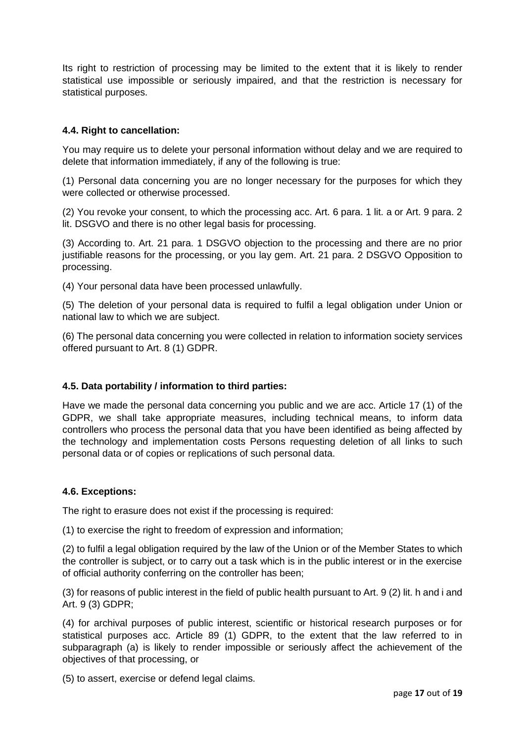Its right to restriction of processing may be limited to the extent that it is likely to render statistical use impossible or seriously impaired, and that the restriction is necessary for statistical purposes.

# **4.4. Right to cancellation:**

You may require us to delete your personal information without delay and we are required to delete that information immediately, if any of the following is true:

(1) Personal data concerning you are no longer necessary for the purposes for which they were collected or otherwise processed.

(2) You revoke your consent, to which the processing acc. Art. 6 para. 1 lit. a or Art. 9 para. 2 lit. DSGVO and there is no other legal basis for processing.

(3) According to. Art. 21 para. 1 DSGVO objection to the processing and there are no prior justifiable reasons for the processing, or you lay gem. Art. 21 para. 2 DSGVO Opposition to processing.

(4) Your personal data have been processed unlawfully.

(5) The deletion of your personal data is required to fulfil a legal obligation under Union or national law to which we are subject.

(6) The personal data concerning you were collected in relation to information society services offered pursuant to Art. 8 (1) GDPR.

## **4.5. Data portability / information to third parties:**

Have we made the personal data concerning you public and we are acc. Article 17 (1) of the GDPR, we shall take appropriate measures, including technical means, to inform data controllers who process the personal data that you have been identified as being affected by the technology and implementation costs Persons requesting deletion of all links to such personal data or of copies or replications of such personal data.

#### **4.6. Exceptions:**

The right to erasure does not exist if the processing is required:

(1) to exercise the right to freedom of expression and information;

(2) to fulfil a legal obligation required by the law of the Union or of the Member States to which the controller is subject, or to carry out a task which is in the public interest or in the exercise of official authority conferring on the controller has been;

(3) for reasons of public interest in the field of public health pursuant to Art. 9 (2) lit. h and i and Art. 9 (3) GDPR;

(4) for archival purposes of public interest, scientific or historical research purposes or for statistical purposes acc. Article 89 (1) GDPR, to the extent that the law referred to in subparagraph (a) is likely to render impossible or seriously affect the achievement of the objectives of that processing, or

(5) to assert, exercise or defend legal claims.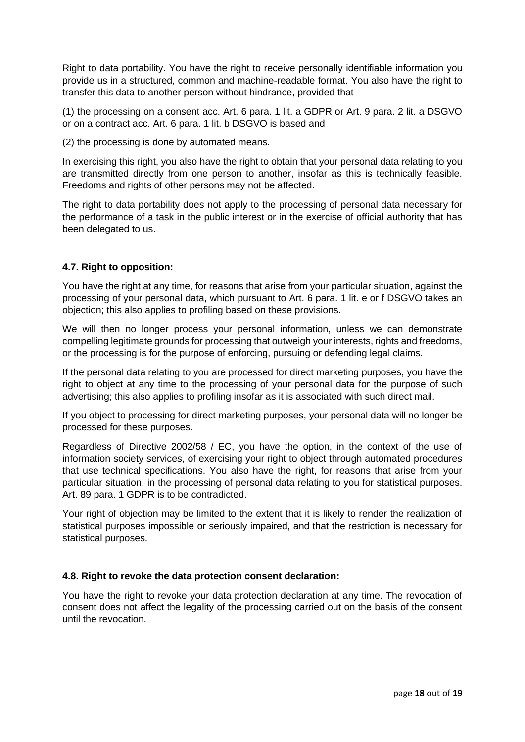Right to data portability. You have the right to receive personally identifiable information you provide us in a structured, common and machine-readable format. You also have the right to transfer this data to another person without hindrance, provided that

(1) the processing on a consent acc. Art. 6 para. 1 lit. a GDPR or Art. 9 para. 2 lit. a DSGVO or on a contract acc. Art. 6 para. 1 lit. b DSGVO is based and

(2) the processing is done by automated means.

In exercising this right, you also have the right to obtain that your personal data relating to you are transmitted directly from one person to another, insofar as this is technically feasible. Freedoms and rights of other persons may not be affected.

The right to data portability does not apply to the processing of personal data necessary for the performance of a task in the public interest or in the exercise of official authority that has been delegated to us.

## **4.7. Right to opposition:**

You have the right at any time, for reasons that arise from your particular situation, against the processing of your personal data, which pursuant to Art. 6 para. 1 lit. e or f DSGVO takes an objection; this also applies to profiling based on these provisions.

We will then no longer process your personal information, unless we can demonstrate compelling legitimate grounds for processing that outweigh your interests, rights and freedoms, or the processing is for the purpose of enforcing, pursuing or defending legal claims.

If the personal data relating to you are processed for direct marketing purposes, you have the right to object at any time to the processing of your personal data for the purpose of such advertising; this also applies to profiling insofar as it is associated with such direct mail.

If you object to processing for direct marketing purposes, your personal data will no longer be processed for these purposes.

Regardless of Directive 2002/58 / EC, you have the option, in the context of the use of information society services, of exercising your right to object through automated procedures that use technical specifications. You also have the right, for reasons that arise from your particular situation, in the processing of personal data relating to you for statistical purposes. Art. 89 para. 1 GDPR is to be contradicted.

Your right of objection may be limited to the extent that it is likely to render the realization of statistical purposes impossible or seriously impaired, and that the restriction is necessary for statistical purposes.

## **4.8. Right to revoke the data protection consent declaration:**

You have the right to revoke your data protection declaration at any time. The revocation of consent does not affect the legality of the processing carried out on the basis of the consent until the revocation.